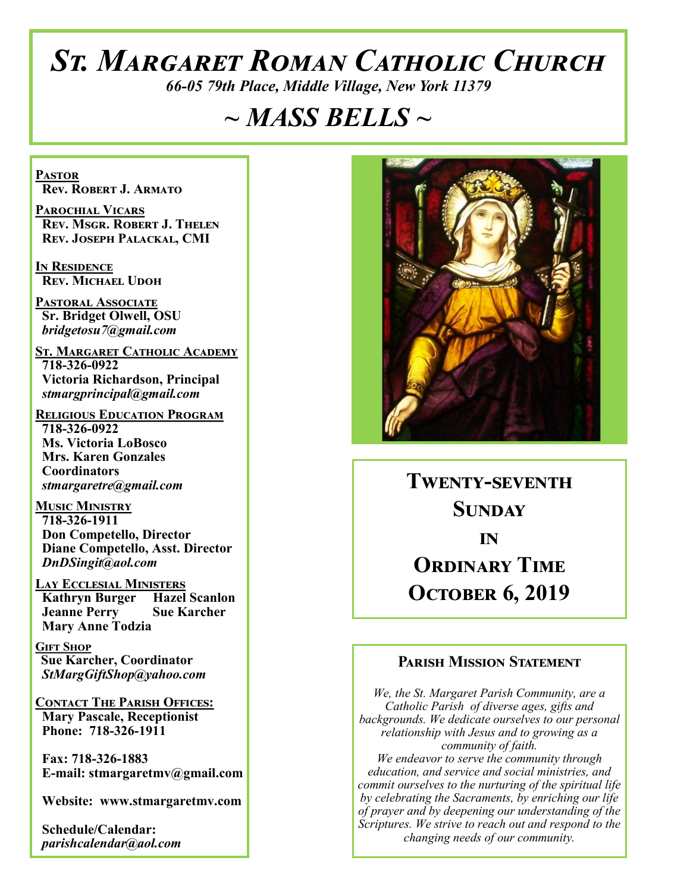# *St. Margaret Roman Catholic Church*

*66-05 79th Place, Middle Village, New York 11379*

# *~ MASS BELLS ~*

**Pastor Rev. Robert J. Armato**

**Parochial Vicars Rev. Msgr. Robert J. Thelen Rev. Joseph Palackal, CMI**

**In Residence Rev. Michael Udoh**

**Pastoral Associate Sr. Bridget Olwell, OSU**  *bridgetosu7@gmail.com*

**St. Margaret Catholic Academy 718-326-0922 Victoria Richardson, Principal**  *stmargprincipal@gmail.com*

**Religious Education Program 718-326-0922 Ms. Victoria LoBosco Mrs. Karen Gonzales Coordinators** *stmargaretre@gmail.com*

**Music Ministry 718-326-1911 Don Competello, Director Diane Competello, Asst. Director** *DnDSingit@aol.com*

**Lay Ecclesial Ministers Kathryn Burger Hazel Scanlon**<br>**Jeanne Perry Sue Karcher Jeanne Perry Mary Anne Todzia**

**Gift Shop Sue Karcher, Coordinator** *StMargGiftShop@yahoo.com*

**Contact The Parish Offices: Mary Pascale, Receptionist Phone: 718-326-1911** 

 **Fax: 718-326-1883 E-mail: stmargaretmv@gmail.com**

 **Website: www.stmargaretmv.com**

 **Schedule/Calendar:** *parishcalendar@aol.com* 



**Twenty-seventh Sunday in ORDINARY TIME October 6, 2019** 

### **Parish Mission Statement**

*We, the St. Margaret Parish Community, are a Catholic Parish of diverse ages, gifts and backgrounds. We dedicate ourselves to our personal relationship with Jesus and to growing as a community of faith. We endeavor to serve the community through education, and service and social ministries, and commit ourselves to the nurturing of the spiritual life by celebrating the Sacraments, by enriching our life of prayer and by deepening our understanding of the Scriptures. We strive to reach out and respond to the changing needs of our community.*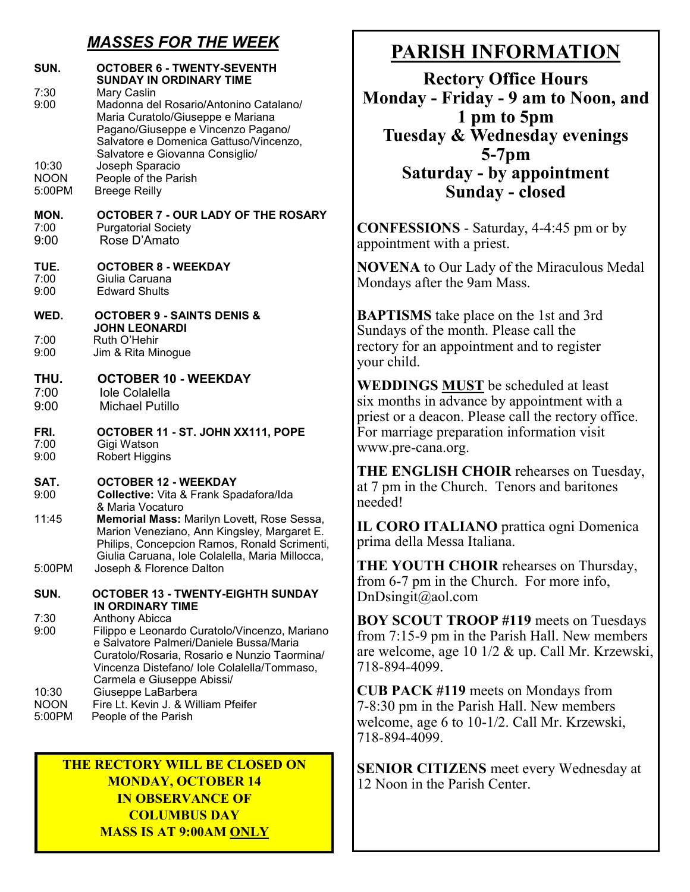### *MASSES FOR THE WEEK*

| SUN.<br>7:30<br>9:00 | <b>OCTOBER 6 - TWENTY-SEVENTH</b><br><b>SUNDAY IN ORDINARY TIME</b><br>Mary Caslin<br>Madonna del Rosario/Antonino Catalano/<br>Maria Curatolo/Giuseppe e Mariana<br>Pagano/Giuseppe e Vincenzo Pagano/<br>Salvatore e Domenica Gattuso/Vincenzo,<br>Salvatore e Giovanna Consiglio/ |
|----------------------|--------------------------------------------------------------------------------------------------------------------------------------------------------------------------------------------------------------------------------------------------------------------------------------|
| 10:30                | Joseph Sparacio                                                                                                                                                                                                                                                                      |
| <b>NOON</b>          | People of the Parish                                                                                                                                                                                                                                                                 |
| 5:00PM               | <b>Breege Reilly</b>                                                                                                                                                                                                                                                                 |
| MON.                 | OCTOBER 7 - OUR LADY OF THE ROSARY                                                                                                                                                                                                                                                   |
| 7:00                 | <b>Purgatorial Society</b>                                                                                                                                                                                                                                                           |
| 9:00                 | Rose D'Amato                                                                                                                                                                                                                                                                         |
| TUE.                 | <b>OCTOBER 8 - WEEKDAY</b>                                                                                                                                                                                                                                                           |
| 7:00                 | Giulia Caruana                                                                                                                                                                                                                                                                       |
| 9:00                 | <b>Edward Shults</b>                                                                                                                                                                                                                                                                 |
| WED.                 | <b>OCTOBER 9 - SAINTS DENIS &amp;</b><br><b>JOHN LEONARDI</b>                                                                                                                                                                                                                        |
| 7:00                 | Ruth O'Hehir                                                                                                                                                                                                                                                                         |
| 9:00                 | Jim & Rita Minogue                                                                                                                                                                                                                                                                   |
| THU.                 | <b>OCTOBER 10 - WEEKDAY</b>                                                                                                                                                                                                                                                          |
| 7:00                 | <b>Iole Colalella</b>                                                                                                                                                                                                                                                                |
| 9:00                 | <b>Michael Putillo</b>                                                                                                                                                                                                                                                               |
| FRI.                 | OCTOBER 11 - ST. JOHN XX111, POPE                                                                                                                                                                                                                                                    |
| 7:00                 | Gigi Watson                                                                                                                                                                                                                                                                          |
| 9:00                 | <b>Robert Higgins</b>                                                                                                                                                                                                                                                                |
| SAT.                 | <b>OCTOBER 12 - WEEKDAY</b>                                                                                                                                                                                                                                                          |
| 9:00                 | Collective: Vita & Frank Spadafora/Ida                                                                                                                                                                                                                                               |
| 11:45                | & Maria Vocaturo<br>Memorial Mass: Marilyn Lovett, Rose Sessa,<br>Marion Veneziano, Ann Kingsley, Margaret E.<br>Philips, Concepcion Ramos, Ronald Scrimenti,<br>Giulia Caruana, Iole Colalella, Maria Millocca,                                                                     |
| 5:00PM               | Joseph & Florence Dalton                                                                                                                                                                                                                                                             |
| SUN.                 | <b>OCTOBER 13 - TWENTY-EIGHTH SUNDAY</b><br>IN ORDINARY TIME                                                                                                                                                                                                                         |
| 7:30<br>9:00         | Anthony Abicca<br>Filippo e Leonardo Curatolo/Vincenzo, Mariano<br>e Salvatore Palmeri/Daniele Bussa/Maria<br>Curatolo/Rosaria, Rosario e Nunzio Taormina/<br>Vincenza Distefano/ lole Colalella/Tommaso,<br>Carmela e Giuseppe Abissi/                                              |
| 10:30                | Giuseppe LaBarbera                                                                                                                                                                                                                                                                   |
| <b>NOON</b>          | Fire Lt. Kevin J. & William Pfeifer                                                                                                                                                                                                                                                  |
| 5:00PM               | People of the Parish                                                                                                                                                                                                                                                                 |

**THE RECTORY WILL BE CLOSED ON MONDAY, OCTOBER 14 IN OBSERVANCE OF COLUMBUS DAY MASS IS AT 9:00AM ONLY**

# **PARISH INFORMATION**

**Rectory Office Hours Monday - Friday - 9 am to Noon, and 1 pm to 5pm Tuesday & Wednesday evenings 5-7pm Saturday - by appointment Sunday - closed**

**CONFESSIONS** - Saturday, 4-4:45 pm or by appointment with a priest.

**NOVENA** to Our Lady of the Miraculous Medal Mondays after the 9am Mass.

**BAPTISMS** take place on the 1st and 3rd Sundays of the month. Please call the rectory for an appointment and to register your child.

**WEDDINGS MUST** be scheduled at least six months in advance by appointment with a priest or a deacon. Please call the rectory office. For marriage preparation information visit www.pre-cana.org.

**THE ENGLISH CHOIR** rehearses on Tuesday, at 7 pm in the Church. Tenors and baritones needed!

**IL CORO ITALIANO** prattica ogni Domenica prima della Messa Italiana.

**THE YOUTH CHOIR** rehearses on Thursday, from 6-7 pm in the Church. For more info, DnDsingit@aol.com

**BOY SCOUT TROOP #119** meets on Tuesdays from 7:15-9 pm in the Parish Hall. New members are welcome, age 10 1/2 & up. Call Mr. Krzewski, 718-894-4099.

**CUB PACK #119** meets on Mondays from 7-8:30 pm in the Parish Hall. New members welcome, age 6 to 10-1/2. Call Mr. Krzewski, 718-894-4099.

**SENIOR CITIZENS** meet every Wednesday at 12 Noon in the Parish Center.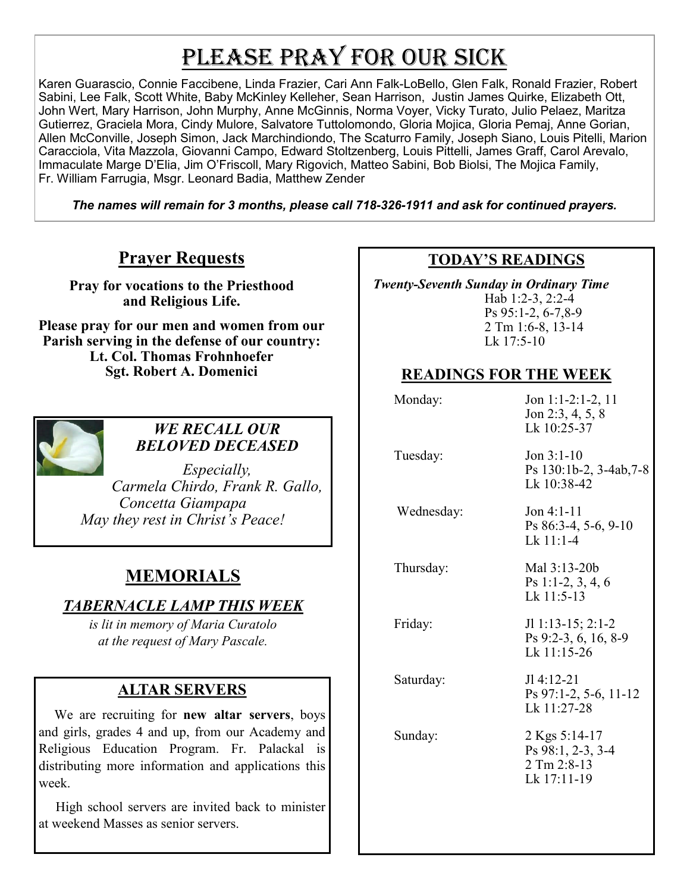# PLEASE PRAY FOR OUR SICK

Karen Guarascio, Connie Faccibene, Linda Frazier, Cari Ann Falk-LoBello, Glen Falk, Ronald Frazier, Robert Sabini, Lee Falk, Scott White, Baby McKinley Kelleher, Sean Harrison, Justin James Quirke, Elizabeth Ott, John Wert, Mary Harrison, John Murphy, Anne McGinnis, Norma Voyer, Vicky Turato, Julio Pelaez, Maritza Gutierrez, Graciela Mora, Cindy Mulore, Salvatore Tuttolomondo, Gloria Mojica, Gloria Pemaj, Anne Gorian, Allen McConville, Joseph Simon, Jack Marchindiondo, The Scaturro Family, Joseph Siano, Louis Pitelli, Marion Caracciola, Vita Mazzola, Giovanni Campo, Edward Stoltzenberg, Louis Pittelli, James Graff, Carol Arevalo, Immaculate Marge D'Elia, Jim O'Friscoll, Mary Rigovich, Matteo Sabini, Bob Biolsi, The Mojica Family, Fr. William Farrugia, Msgr. Leonard Badia, Matthew Zender

*The names will remain for 3 months, please call 718-326-1911 and ask for continued prayers.*

### **Prayer Requests**

**Pray for vocations to the Priesthood and Religious Life.** 

**Please pray for our men and women from our Parish serving in the defense of our country: Lt. Col. Thomas Frohnhoefer Sgt. Robert A. Domenici** 



#### *WE RECALL OUR BELOVED DECEASED*

*Especially, Carmela Chirdo, Frank R. Gallo, Concetta Giampapa May they rest in Christ's Peace!*

# **MEMORIALS**

### *TABERNACLE LAMP THIS WEEK*

*is lit in memory of Maria Curatolo at the request of Mary Pascale.*

### **ALTAR SERVERS**

 We are recruiting for **new altar servers**, boys and girls, grades 4 and up, from our Academy and Religious Education Program. Fr. Palackal is distributing more information and applications this week.

 High school servers are invited back to minister at weekend Masses as senior servers.

### **TODAY'S READINGS**

 *Twenty-Seventh Sunday in Ordinary Time*  Hab 1:2-3, 2:2-4 Ps 95:1-2, 6-7,8-9 2 Tm 1:6-8, 13-14 Lk 17:5-10

### **READINGS FOR THE WEEK**

| Monday:    | Jon 1:1-2:1-2, 11<br>Jon 2:3, 4, 5, 8<br>Lk 10:25-37             |
|------------|------------------------------------------------------------------|
| Tuesday:   | Jon $3:1-10$<br>Ps 130:1b-2, 3-4ab, 7-8<br>Lk 10:38-42           |
| Wednesday: | $Jon 4:1-11$<br>Ps 86:3-4, 5-6, 9-10<br>$Lk$ 11:1-4              |
| Thursday:  | Mal 3:13-20b<br>Ps 1:1-2, 3, 4, 6<br>$Lk$ 11:5-13                |
| Friday:    | $JI$ 1:13-15; 2:1-2<br>Ps 9:2-3, 6, 16, 8-9<br>Lk $11:15-26$     |
| Saturday:  | $JI 4:12-21$<br>$Ps$ 97:1-2, 5-6, 11-12<br>Lk 11:27-28           |
| Sunday:    | 2 Kgs 5:14-17<br>Ps 98:1, 2-3, 3-4<br>2 Tm 2:8-13<br>Lk 17:11-19 |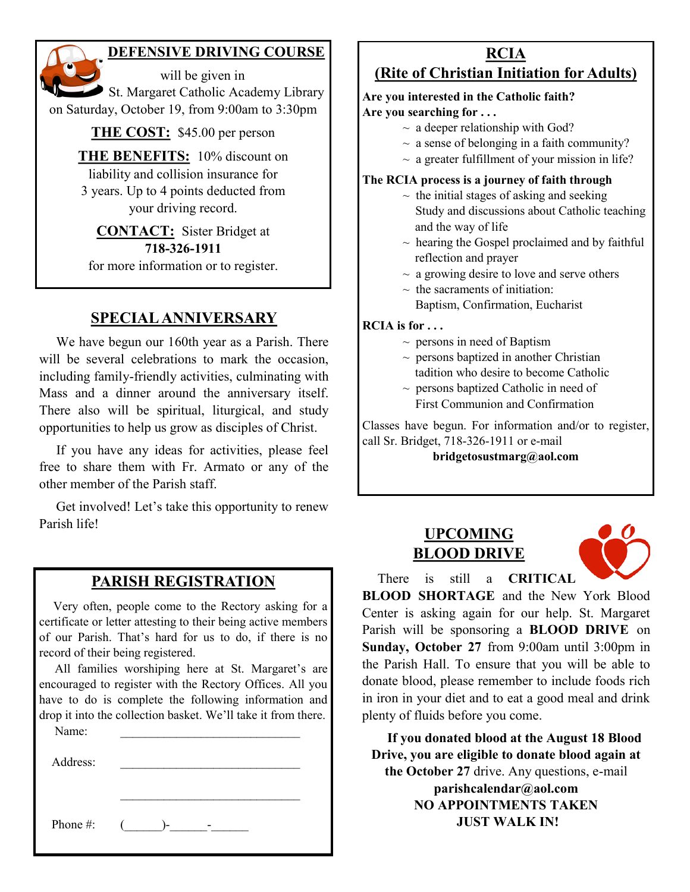### **DEFENSIVE DRIVING COURSE**

 will be given in St. Margaret Catholic Academy Library on Saturday, October 19, from 9:00am to 3:30pm

**THE COST:** \$45.00 per person

**THE BENEFITS:** 10% discount on liability and collision insurance for 3 years. Up to 4 points deducted from your driving record.

**CONTACT:** Sister Bridget at **718-326-1911** for more information or to register.

### **SPECIAL ANNIVERSARY**

 We have begun our 160th year as a Parish. There will be several celebrations to mark the occasion, including family-friendly activities, culminating with Mass and a dinner around the anniversary itself. There also will be spiritual, liturgical, and study opportunities to help us grow as disciples of Christ.

 If you have any ideas for activities, please feel free to share them with Fr. Armato or any of the other member of the Parish staff.

 Get involved! Let's take this opportunity to renew Parish life!

### **PARISH REGISTRATION**

 Very often, people come to the Rectory asking for a certificate or letter attesting to their being active members of our Parish. That's hard for us to do, if there is no record of their being registered.

 All families worshiping here at St. Margaret's are encouraged to register with the Rectory Offices. All you have to do is complete the following information and drop it into the collection basket. We'll take it from there.

| Name:    |  |
|----------|--|
| Address: |  |
|          |  |
|          |  |

Phone #:  $($   $)$ - $)$ - $-$ 

#### **RCIA (Rite of Christian Initiation for Adults)**

#### **Are you interested in the Catholic faith? Are you searching for . . .**

- $\sim$  a deeper relationship with God?
- $\sim$  a sense of belonging in a faith community?
- $\sim$  a greater fulfillment of your mission in life?

#### **The RCIA process is a journey of faith through**

- $\sim$  the initial stages of asking and seeking Study and discussions about Catholic teaching and the way of life
- $\sim$  hearing the Gospel proclaimed and by faithful reflection and prayer
- $\sim$  a growing desire to love and serve others
- $\sim$  the sacraments of initiation:
	- Baptism, Confirmation, Eucharist

#### **RCIA is for . . .**

- $\sim$  persons in need of Baptism
- $\sim$  persons baptized in another Christian tadition who desire to become Catholic
- $\sim$  persons baptized Catholic in need of First Communion and Confirmation

Classes have begun. For information and/or to register, call Sr. Bridget, 718-326-1911 or e-mail

**bridgetosustmarg@aol.com** 

### **UPCOMING BLOOD DRIVE**



There is still a **CRITICAL** 

**BLOOD SHORTAGE** and the New York Blood Center is asking again for our help. St. Margaret Parish will be sponsoring a **BLOOD DRIVE** on **Sunday, October 27** from 9:00am until 3:00pm in the Parish Hall. To ensure that you will be able to donate blood, please remember to include foods rich in iron in your diet and to eat a good meal and drink plenty of fluids before you come.

 **If you donated blood at the August 18 Blood Drive, you are eligible to donate blood again at the October 27** drive. Any questions, e-mail **parishcalendar@aol.com NO APPOINTMENTS TAKEN JUST WALK IN!**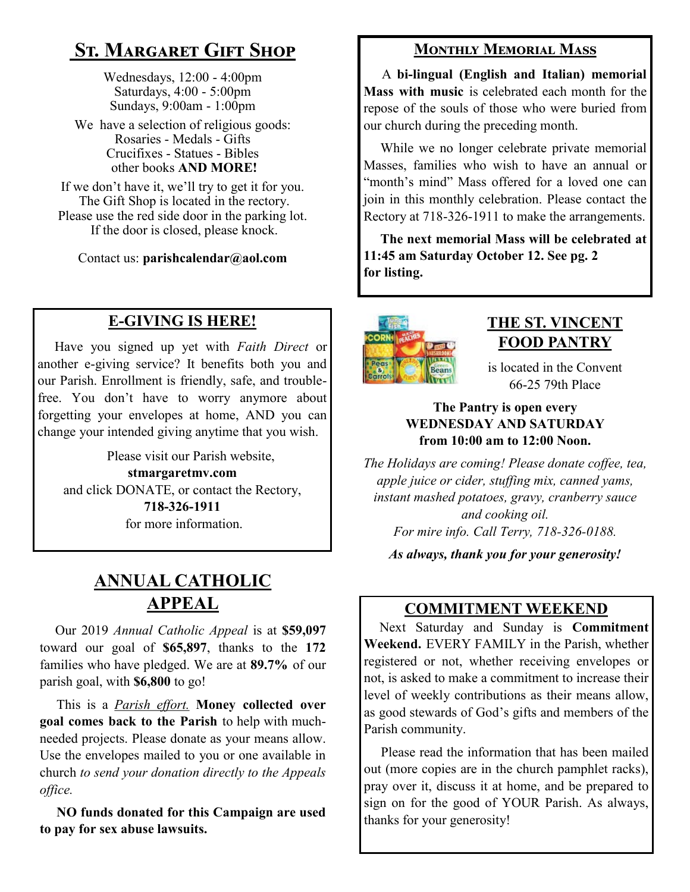# **St. Margaret Gift Shop**

Wednesdays, 12:00 - 4:00pm Saturdays, 4:00 - 5:00pm Sundays, 9:00am - 1:00pm

We have a selection of religious goods: Rosaries - Medals - Gifts Crucifixes - Statues - Bibles other books **AND MORE!**

If we don't have it, we'll try to get it for you. The Gift Shop is located in the rectory. Please use the red side door in the parking lot. If the door is closed, please knock.

Contact us: **parishcalendar@aol.com**

## **E-GIVING IS HERE!**

 Have you signed up yet with *Faith Direct* or another e-giving service? It benefits both you and our Parish. Enrollment is friendly, safe, and troublefree. You don't have to worry anymore about forgetting your envelopes at home, AND you can change your intended giving anytime that you wish.

 Please visit our Parish website, **stmargaretmv.com** and click DONATE, or contact the Rectory, **718-326-1911** for more information.

# **ANNUAL CATHOLIC APPEAL**

 Our 2019 *Annual Catholic Appeal* is at **\$59,097** toward our goal of **\$65,897**, thanks to the **172** families who have pledged. We are at **89.7%** of our parish goal, with **\$6,800** to go!

 This is a *Parish effort.* **Money collected over goal comes back to the Parish** to help with muchneeded projects. Please donate as your means allow. Use the envelopes mailed to you or one available in church *to send your donation directly to the Appeals office.*

 **NO funds donated for this Campaign are used to pay for sex abuse lawsuits.** 

### **Monthly Memorial Mass**

 A **bi-lingual (English and Italian) memorial Mass with music** is celebrated each month for the repose of the souls of those who were buried from our church during the preceding month.

 While we no longer celebrate private memorial Masses, families who wish to have an annual or "month's mind" Mass offered for a loved one can join in this monthly celebration. Please contact the Rectory at 718-326-1911 to make the arrangements.

 **The next memorial Mass will be celebrated at 11:45 am Saturday October 12. See pg. 2 for listing.** 



## **THE ST. VINCENT FOOD PANTRY**

is located in the Convent 66-25 79th Place

#### **The Pantry is open every WEDNESDAY AND SATURDAY from 10:00 am to 12:00 Noon.**

*The Holidays are coming! Please donate coffee, tea, apple juice or cider, stuffing mix, canned yams, instant mashed potatoes, gravy, cranberry sauce and cooking oil. For mire info. Call Terry, 718-326-0188.*

*As always, thank you for your generosity!*

### **COMMITMENT WEEKEND**

 Next Saturday and Sunday is **Commitment Weekend.** EVERY FAMILY in the Parish, whether registered or not, whether receiving envelopes or not, is asked to make a commitment to increase their level of weekly contributions as their means allow, as good stewards of God's gifts and members of the Parish community.

 Please read the information that has been mailed out (more copies are in the church pamphlet racks), pray over it, discuss it at home, and be prepared to sign on for the good of YOUR Parish. As always, thanks for your generosity!